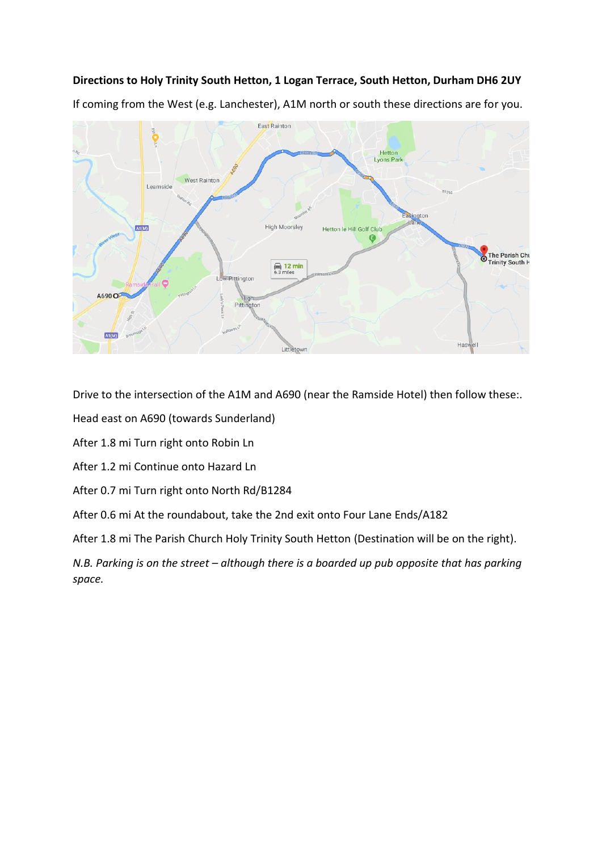## **Directions to Holy Trinity South Hetton, 1 Logan Terrace, South Hetton, Durham DH6 2UY**

If coming from the West (e.g. Lanchester), A1M north or south these directions are for you.



Drive to the intersection of the A1M and A690 (near the Ramside Hotel) then follow these:.

Head east on A690 (towards Sunderland)

After 1.8 mi Turn right onto Robin Ln

After 1.2 mi Continue onto Hazard Ln

After 0.7 mi Turn right onto North Rd/B1284

After 0.6 mi At the roundabout, take the 2nd exit onto Four Lane Ends/A182

After 1.8 mi The Parish Church Holy Trinity South Hetton (Destination will be on the right).

*N.B. Parking is on the street – although there is a boarded up pub opposite that has parking space.*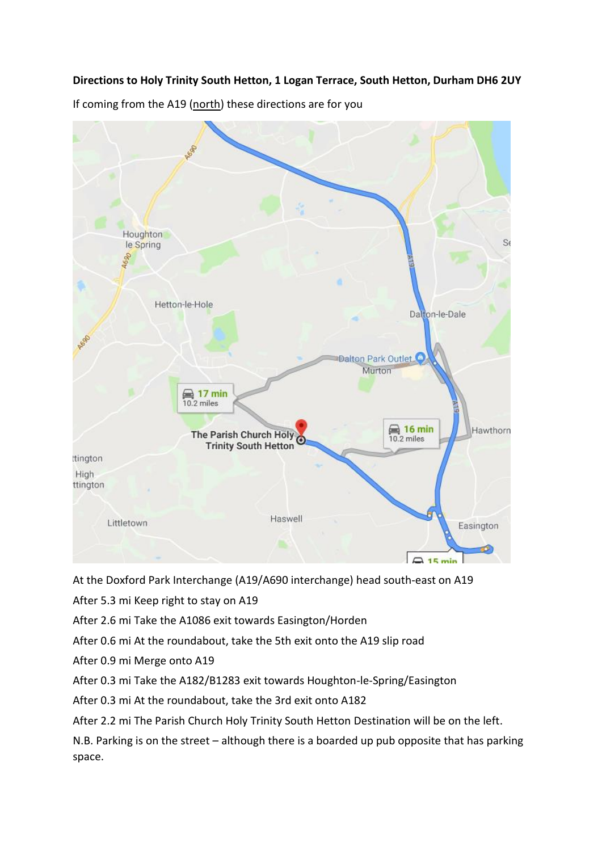## **Directions to Holy Trinity South Hetton, 1 Logan Terrace, South Hetton, Durham DH6 2UY**

Houghton le Spring der Hetton-le-Hole Dalton-le-Dale 7600 Dalton Park Outlet. Murton **■ 17 min** 10.2 miles  $\overline{\phantom{1}}$  16 min The Parish Church Holy Hawthorn 10.2 miles **Trinity South Hetton** ttington High ttington Haswell Littletown Easington  $15 \text{ min}$ 

If coming from the A19 (north) these directions are for you

At the Doxford Park Interchange (A19/A690 interchange) head south-east on A19

After 5.3 mi Keep right to stay on A19

After 2.6 mi Take the A1086 exit towards Easington/Horden

After 0.6 mi At the roundabout, take the 5th exit onto the A19 slip road

After 0.9 mi Merge onto A19

After 0.3 mi Take the A182/B1283 exit towards Houghton-le-Spring/Easington

After 0.3 mi At the roundabout, take the 3rd exit onto A182

After 2.2 mi The Parish Church Holy Trinity South Hetton Destination will be on the left.

N.B. Parking is on the street – although there is a boarded up pub opposite that has parking space.